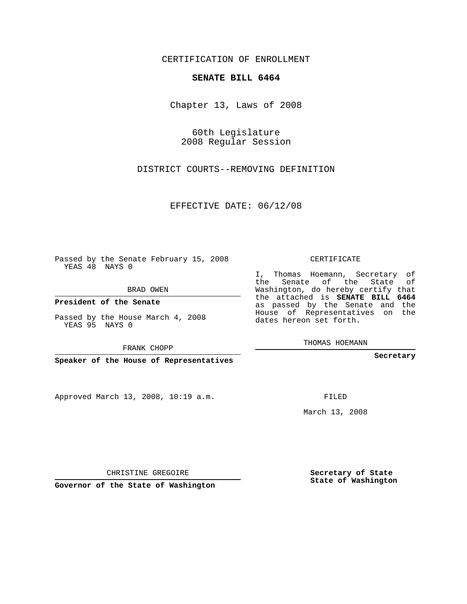CERTIFICATION OF ENROLLMENT

## **SENATE BILL 6464**

Chapter 13, Laws of 2008

60th Legislature 2008 Regular Session

DISTRICT COURTS--REMOVING DEFINITION

EFFECTIVE DATE: 06/12/08

Passed by the Senate February 15, 2008 YEAS 48 NAYS 0

BRAD OWEN

**President of the Senate**

Passed by the House March 4, 2008 YEAS 95 NAYS 0

FRANK CHOPP

**Speaker of the House of Representatives**

Approved March 13, 2008, 10:19 a.m.

CERTIFICATE

I, Thomas Hoemann, Secretary of the Senate of the State of Washington, do hereby certify that the attached is **SENATE BILL 6464** as passed by the Senate and the House of Representatives on the dates hereon set forth.

THOMAS HOEMANN

**Secretary**

FILED

March 13, 2008

**Secretary of State State of Washington**

CHRISTINE GREGOIRE

**Governor of the State of Washington**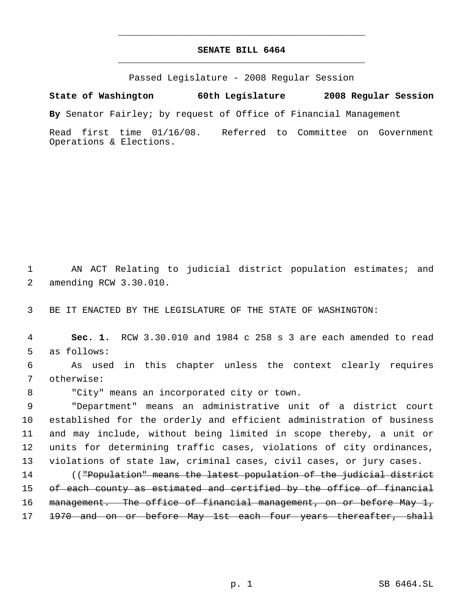## **SENATE BILL 6464** \_\_\_\_\_\_\_\_\_\_\_\_\_\_\_\_\_\_\_\_\_\_\_\_\_\_\_\_\_\_\_\_\_\_\_\_\_\_\_\_\_\_\_\_\_

\_\_\_\_\_\_\_\_\_\_\_\_\_\_\_\_\_\_\_\_\_\_\_\_\_\_\_\_\_\_\_\_\_\_\_\_\_\_\_\_\_\_\_\_\_

Passed Legislature - 2008 Regular Session

**State of Washington 60th Legislature 2008 Regular Session**

**By** Senator Fairley; by request of Office of Financial Management

Read first time 01/16/08. Referred to Committee on Government Operations & Elections.

 1 AN ACT Relating to judicial district population estimates; and 2 amending RCW 3.30.010.

3 BE IT ENACTED BY THE LEGISLATURE OF THE STATE OF WASHINGTON:

 4 **Sec. 1.** RCW 3.30.010 and 1984 c 258 s 3 are each amended to read 5 as follows:

 6 As used in this chapter unless the context clearly requires 7 otherwise:

8 "City" means an incorporated city or town.

 "Department" means an administrative unit of a district court established for the orderly and efficient administration of business and may include, without being limited in scope thereby, a unit or units for determining traffic cases, violations of city ordinances, violations of state law, criminal cases, civil cases, or jury cases.

14 (("Population" means the latest population of the judicial district 15 of each county as estimated and certified by the office of financial 16 management. The office of financial management, on or before May 1, 17 1970 and on or before May 1st each four years thereafter, shall